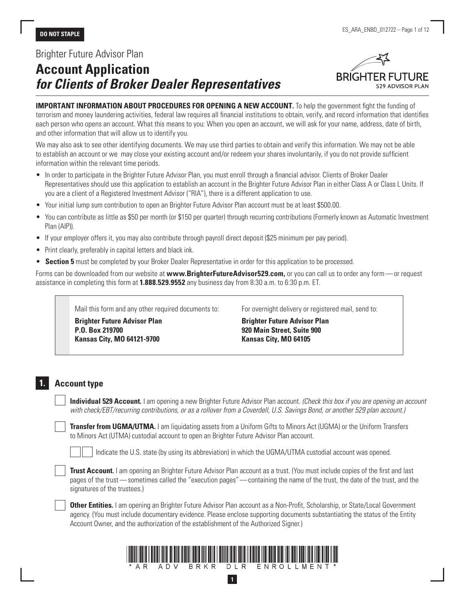# Brighter Future Advisor Plan **Account Application** *for Clients of Broker Dealer Representatives*



**IMPORTANT INFORMATION ABOUT PROCEDURES FOR OPENING A NEW ACCOUNT.** To help the government fight the funding of terrorism and money laundering activities, federal law requires all financial institutions to obtain, verify, and record information that identifies each person who opens an account. What this means to you: When you open an account, we will ask for your name, address, date of birth, and other information that will allow us to identify you.

We may also ask to see other identifying documents. We may use third parties to obtain and verify this information. We may not be able to establish an account or we may close your existing account and/or redeem your shares involuntarily, if you do not provide sufficient information within the relevant time periods.

- In order to participate in the Brighter Future Advisor Plan, you must enroll through a financial advisor. Clients of Broker Dealer Representatives should use this application to establish an account in the Brighter Future Advisor Plan in either Class A or Class L Units. If you are a client of a Registered Investment Advisor ("RIA"), there is a different application to use.
- Your initial lump sum contribution to open an Brighter Future Advisor Plan account must be at least \$500.00.
- You can contribute as little as \$50 per month (or \$150 per quarter) through recurring contributions (Formerly known as Automatic Investment Plan (AIP)).
- If your employer offers it, you may also contribute through payroll direct deposit (\$25 minimum per pay period).
- Print clearly, preferably in capital letters and black ink.
- **Section 5** must be completed by your Broker Dealer Representative in order for this application to be processed.

Forms can be downloaded from our website at **www.BrighterFutureAdvisor529.com,** or you can call us to order any form—or request assistance in completing this form at **1.888.529.9552** any business day from 8:30 a.m. to 6:30 p.m. ET.

Mail this form and any other required documents to:

**Brighter Future Advisor Plan P.O. Box 219700 Kansas City, MO 64121-9700**

For overnight delivery or registered mail, send to:

**Brighter Future Advisor Plan 920 Main Street, Suite 900 Kansas City, MO 64105**

# **1. Account type**

**Individual 529 Account.** I am opening a new Brighter Future Advisor Plan account. *(Check this box if you are opening an account with check/EBT/recurring contributions, or as a rollover from a Coverdell, U.S. Savings Bond, or another 529 plan account.)*

 **Transfer from UGMA/UTMA.** I am liquidating assets from a Uniform Gifts to Minors Act (UGMA) or the Uniform Transfers to Minors Act (UTMA) custodial account to open an Brighter Future Advisor Plan account.

Indicate the U.S. state (by using its abbreviation) in which the UGMA/UTMA custodial account was opened.

**Trust Account.** I am opening an Brighter Future Advisor Plan account as a trust. (You must include copies of the first and last pages of the trust—sometimes called the "execution pages"—containing the name of the trust, the date of the trust, and the signatures of the trustees.)

 **Other Entities.** I am opening an Brighter Future Advisor Plan account as a Non-Profit, Scholarship, or State/Local Government agency. (You must include documentary evidence. Please enclose supporting documents substantiating the status of the Entity Account Owner, and the authorization of the establishment of the Authorized Signer.)



**1**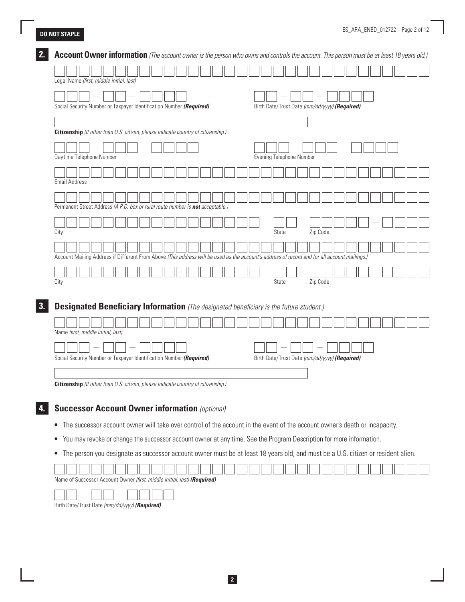|      | Legal Name (first, middle initial, last)                                                                                                     |  |  |  |  |  |  |  |  |  |  |                          |              |  |  |          |  |                                               |  |  |  |  |
|------|----------------------------------------------------------------------------------------------------------------------------------------------|--|--|--|--|--|--|--|--|--|--|--------------------------|--------------|--|--|----------|--|-----------------------------------------------|--|--|--|--|
|      |                                                                                                                                              |  |  |  |  |  |  |  |  |  |  |                          |              |  |  |          |  |                                               |  |  |  |  |
|      | Social Security Number or Taxpayer Identification Number (Required)                                                                          |  |  |  |  |  |  |  |  |  |  |                          |              |  |  |          |  | Birth Date/Trust Date (mm/dd/yyyy) (Required) |  |  |  |  |
|      |                                                                                                                                              |  |  |  |  |  |  |  |  |  |  |                          |              |  |  |          |  |                                               |  |  |  |  |
|      |                                                                                                                                              |  |  |  |  |  |  |  |  |  |  |                          |              |  |  |          |  |                                               |  |  |  |  |
|      | Citizenship (If other than U.S. citizen, please indicate country of citizenship.)                                                            |  |  |  |  |  |  |  |  |  |  |                          |              |  |  |          |  |                                               |  |  |  |  |
|      |                                                                                                                                              |  |  |  |  |  |  |  |  |  |  |                          |              |  |  |          |  |                                               |  |  |  |  |
|      |                                                                                                                                              |  |  |  |  |  |  |  |  |  |  |                          |              |  |  |          |  |                                               |  |  |  |  |
|      | Daytime Telephone Number                                                                                                                     |  |  |  |  |  |  |  |  |  |  | Evening Telephone Number |              |  |  |          |  |                                               |  |  |  |  |
|      |                                                                                                                                              |  |  |  |  |  |  |  |  |  |  |                          |              |  |  |          |  |                                               |  |  |  |  |
|      | <b>Email Address</b>                                                                                                                         |  |  |  |  |  |  |  |  |  |  |                          |              |  |  |          |  |                                               |  |  |  |  |
|      |                                                                                                                                              |  |  |  |  |  |  |  |  |  |  |                          |              |  |  |          |  |                                               |  |  |  |  |
|      |                                                                                                                                              |  |  |  |  |  |  |  |  |  |  |                          |              |  |  |          |  |                                               |  |  |  |  |
|      | Permanent Street Address (A P.O. box or rural route number is <b>not</b> acceptable.)                                                        |  |  |  |  |  |  |  |  |  |  |                          |              |  |  |          |  |                                               |  |  |  |  |
|      |                                                                                                                                              |  |  |  |  |  |  |  |  |  |  |                          |              |  |  |          |  |                                               |  |  |  |  |
| City |                                                                                                                                              |  |  |  |  |  |  |  |  |  |  |                          | <b>State</b> |  |  | Zip Code |  |                                               |  |  |  |  |
|      |                                                                                                                                              |  |  |  |  |  |  |  |  |  |  |                          |              |  |  |          |  |                                               |  |  |  |  |
|      |                                                                                                                                              |  |  |  |  |  |  |  |  |  |  |                          |              |  |  |          |  |                                               |  |  |  |  |
|      | Account Mailing Address if Different From Above (This address will be used as the account's address of record and for all account mailings.) |  |  |  |  |  |  |  |  |  |  |                          |              |  |  |          |  |                                               |  |  |  |  |
|      |                                                                                                                                              |  |  |  |  |  |  |  |  |  |  |                          |              |  |  |          |  |                                               |  |  |  |  |
| City |                                                                                                                                              |  |  |  |  |  |  |  |  |  |  |                          | <b>State</b> |  |  | Zip Code |  |                                               |  |  |  |  |
|      |                                                                                                                                              |  |  |  |  |  |  |  |  |  |  |                          |              |  |  |          |  |                                               |  |  |  |  |
|      |                                                                                                                                              |  |  |  |  |  |  |  |  |  |  |                          |              |  |  |          |  |                                               |  |  |  |  |
|      | <b>Designated Beneficiary Information</b> (The designated beneficiary is the future student.)                                                |  |  |  |  |  |  |  |  |  |  |                          |              |  |  |          |  |                                               |  |  |  |  |
|      |                                                                                                                                              |  |  |  |  |  |  |  |  |  |  |                          |              |  |  |          |  |                                               |  |  |  |  |
|      | Name (first, middle initial, last)                                                                                                           |  |  |  |  |  |  |  |  |  |  |                          |              |  |  |          |  |                                               |  |  |  |  |
|      |                                                                                                                                              |  |  |  |  |  |  |  |  |  |  |                          |              |  |  |          |  |                                               |  |  |  |  |
|      |                                                                                                                                              |  |  |  |  |  |  |  |  |  |  |                          |              |  |  |          |  |                                               |  |  |  |  |
|      | Social Security Number or Taxpayer Identification Number (Required)                                                                          |  |  |  |  |  |  |  |  |  |  |                          |              |  |  |          |  | Birth Date/Trust Date (mm/dd/yyyy) (Required) |  |  |  |  |
|      |                                                                                                                                              |  |  |  |  |  |  |  |  |  |  |                          |              |  |  |          |  |                                               |  |  |  |  |
|      | Citizenship (If other than U.S. citizen, please indicate country of citizenship.)                                                            |  |  |  |  |  |  |  |  |  |  |                          |              |  |  |          |  |                                               |  |  |  |  |
|      |                                                                                                                                              |  |  |  |  |  |  |  |  |  |  |                          |              |  |  |          |  |                                               |  |  |  |  |
|      |                                                                                                                                              |  |  |  |  |  |  |  |  |  |  |                          |              |  |  |          |  |                                               |  |  |  |  |

- The successor account owner will take over control of the account in the event of the account owner's death or incapacity.
- You may revoke or change the successor account owner at any time. See the Program Description for more information.
- The person you designate as successor account owner must be at least 18 years old, and must be a U.S. citizen or resident alien.

|  | بالمسالمسا لمسالمسا لمسالمسا لمسالمسا لمسالمسالمسالمسالمسالمسالمسالمسا لمسالمسا لمسالمسا لمسالمسالمسالمسا |  |
|--|-----------------------------------------------------------------------------------------------------------|--|

Name of Successor Account Owner *(first, middle initial, last) (Required)*



Birth Date/Trust Date *(mm/dd/yyyy) (Required)*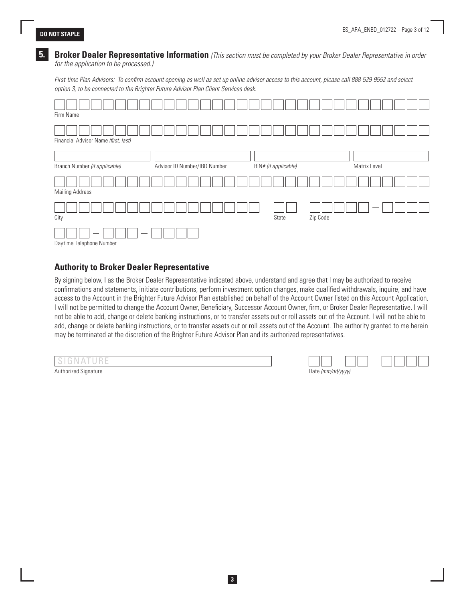## **5. Broker Dealer Representative Information** *(This section must be completed by your Broker Dealer Representative in order for the application to be processed.)*

*First-time Plan Advisors: To confirm account opening as well as set up online advisor access to this account, please call 888-529-9552 and select option 3, to be connected to the Brighter Future Advisor Plan Client Services desk.*

| Firm Name                            |                              |                      |              |  |
|--------------------------------------|------------------------------|----------------------|--------------|--|
| Financial Advisor Name (first, last) |                              |                      |              |  |
| Branch Number (if applicable)        | Advisor ID Number/IRD Number | BIN# (if applicable) | Matrix Level |  |
| <b>Mailing Address</b>               |                              |                      |              |  |
| City                                 |                              | State                | Zip Code     |  |
| Daytime Telephone Number             |                              |                      |              |  |

## **Authority to Broker Dealer Representative**

By signing below, I as the Broker Dealer Representative indicated above, understand and agree that I may be authorized to receive confirmations and statements, initiate contributions, perform investment option changes, make qualified withdrawals, inquire, and have access to the Account in the Brighter Future Advisor Plan established on behalf of the Account Owner listed on this Account Application. I will not be permitted to change the Account Owner, Beneficiary, Successor Account Owner, firm, or Broker Dealer Representative. I will not be able to add, change or delete banking instructions, or to transfer assets out or roll assets out of the Account. I will not be able to add, change or delete banking instructions, or to transfer assets out or roll assets out of the Account. The authority granted to me herein may be terminated at the discretion of the Brighter Future Advisor Plan and its authorized representatives.

**SIGNATURE** 

**Authorized Signature** 

| Date (mm/dd/vvvv) |  |  |
|-------------------|--|--|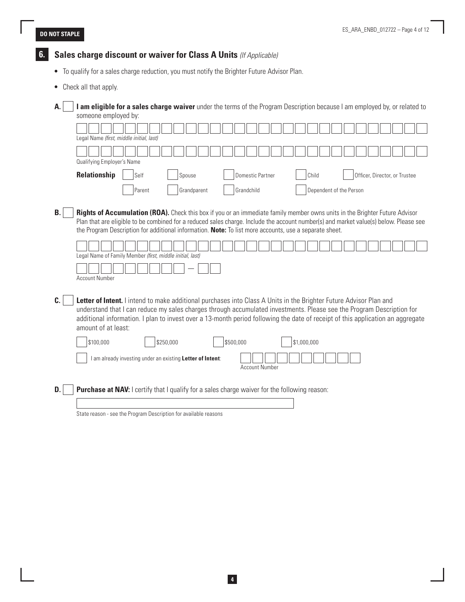# **6. Sales charge discount or waiver for Class A Units** *(If Applicable)*

- To qualify for a sales charge reduction, you must notify the Brighter Future Advisor Plan.
- Check all that apply.
- **A. I am eligible for a sales charge waiver** under the terms of the Program Description because I am employed by, or related to someone employed by:

| Legal Name (first, middle initial, last)<br>Qualifying Employer's Name<br>Relationship |                                                           |        |           |                                                                          |                         |            |  |       |             |                                                                                                        |                         |  |                                                                                                                                                                                                                                                                                                                                                                                                                                                                                                                                                                                                                                                              |
|----------------------------------------------------------------------------------------|-----------------------------------------------------------|--------|-----------|--------------------------------------------------------------------------|-------------------------|------------|--|-------|-------------|--------------------------------------------------------------------------------------------------------|-------------------------|--|--------------------------------------------------------------------------------------------------------------------------------------------------------------------------------------------------------------------------------------------------------------------------------------------------------------------------------------------------------------------------------------------------------------------------------------------------------------------------------------------------------------------------------------------------------------------------------------------------------------------------------------------------------------|
|                                                                                        |                                                           |        |           |                                                                          |                         |            |  |       |             |                                                                                                        |                         |  |                                                                                                                                                                                                                                                                                                                                                                                                                                                                                                                                                                                                                                                              |
|                                                                                        |                                                           |        |           |                                                                          |                         |            |  |       |             |                                                                                                        |                         |  |                                                                                                                                                                                                                                                                                                                                                                                                                                                                                                                                                                                                                                                              |
|                                                                                        |                                                           |        |           |                                                                          |                         |            |  |       |             |                                                                                                        |                         |  |                                                                                                                                                                                                                                                                                                                                                                                                                                                                                                                                                                                                                                                              |
|                                                                                        | Self                                                      | Spouse |           |                                                                          | <b>Domestic Partner</b> |            |  | Child |             | Officer, Director, or Trustee                                                                          |                         |  |                                                                                                                                                                                                                                                                                                                                                                                                                                                                                                                                                                                                                                                              |
|                                                                                        | Parent                                                    |        |           |                                                                          |                         |            |  |       |             |                                                                                                        |                         |  |                                                                                                                                                                                                                                                                                                                                                                                                                                                                                                                                                                                                                                                              |
|                                                                                        |                                                           |        |           |                                                                          |                         |            |  |       |             |                                                                                                        |                         |  |                                                                                                                                                                                                                                                                                                                                                                                                                                                                                                                                                                                                                                                              |
|                                                                                        |                                                           |        |           |                                                                          |                         |            |  |       |             |                                                                                                        |                         |  |                                                                                                                                                                                                                                                                                                                                                                                                                                                                                                                                                                                                                                                              |
|                                                                                        |                                                           |        |           |                                                                          |                         |            |  |       |             |                                                                                                        |                         |  |                                                                                                                                                                                                                                                                                                                                                                                                                                                                                                                                                                                                                                                              |
|                                                                                        |                                                           |        |           |                                                                          |                         |            |  |       |             |                                                                                                        |                         |  |                                                                                                                                                                                                                                                                                                                                                                                                                                                                                                                                                                                                                                                              |
|                                                                                        |                                                           |        |           |                                                                          |                         |            |  |       |             |                                                                                                        |                         |  |                                                                                                                                                                                                                                                                                                                                                                                                                                                                                                                                                                                                                                                              |
|                                                                                        |                                                           |        |           |                                                                          |                         |            |  |       |             |                                                                                                        |                         |  |                                                                                                                                                                                                                                                                                                                                                                                                                                                                                                                                                                                                                                                              |
|                                                                                        |                                                           |        |           |                                                                          |                         |            |  |       |             |                                                                                                        |                         |  |                                                                                                                                                                                                                                                                                                                                                                                                                                                                                                                                                                                                                                                              |
|                                                                                        |                                                           |        |           |                                                                          |                         |            |  |       |             |                                                                                                        |                         |  |                                                                                                                                                                                                                                                                                                                                                                                                                                                                                                                                                                                                                                                              |
|                                                                                        |                                                           |        |           |                                                                          |                         |            |  |       |             |                                                                                                        |                         |  |                                                                                                                                                                                                                                                                                                                                                                                                                                                                                                                                                                                                                                                              |
|                                                                                        |                                                           |        |           |                                                                          |                         |            |  |       |             |                                                                                                        |                         |  |                                                                                                                                                                                                                                                                                                                                                                                                                                                                                                                                                                                                                                                              |
|                                                                                        |                                                           |        |           |                                                                          |                         |            |  |       |             |                                                                                                        |                         |  |                                                                                                                                                                                                                                                                                                                                                                                                                                                                                                                                                                                                                                                              |
|                                                                                        |                                                           |        |           |                                                                          |                         |            |  |       |             |                                                                                                        |                         |  |                                                                                                                                                                                                                                                                                                                                                                                                                                                                                                                                                                                                                                                              |
|                                                                                        |                                                           |        |           |                                                                          |                         |            |  |       |             |                                                                                                        |                         |  |                                                                                                                                                                                                                                                                                                                                                                                                                                                                                                                                                                                                                                                              |
|                                                                                        |                                                           |        |           |                                                                          |                         |            |  |       |             |                                                                                                        |                         |  |                                                                                                                                                                                                                                                                                                                                                                                                                                                                                                                                                                                                                                                              |
|                                                                                        |                                                           |        |           |                                                                          |                         |            |  |       |             |                                                                                                        |                         |  |                                                                                                                                                                                                                                                                                                                                                                                                                                                                                                                                                                                                                                                              |
|                                                                                        |                                                           |        |           |                                                                          |                         |            |  |       |             |                                                                                                        |                         |  |                                                                                                                                                                                                                                                                                                                                                                                                                                                                                                                                                                                                                                                              |
|                                                                                        |                                                           |        |           |                                                                          |                         |            |  |       |             |                                                                                                        |                         |  |                                                                                                                                                                                                                                                                                                                                                                                                                                                                                                                                                                                                                                                              |
|                                                                                        |                                                           |        |           |                                                                          |                         |            |  |       |             |                                                                                                        |                         |  |                                                                                                                                                                                                                                                                                                                                                                                                                                                                                                                                                                                                                                                              |
| am already investing under an existing Letter of Intent:                               |                                                           |        |           |                                                                          |                         |            |  |       |             |                                                                                                        |                         |  |                                                                                                                                                                                                                                                                                                                                                                                                                                                                                                                                                                                                                                                              |
|                                                                                        | <b>Account Number</b><br>amount of at least:<br>\$100,000 |        | \$250,000 | Grandparent<br>Legal Name of Family Member (first, middle initial, last) | \$500,000               | Grandchild |  |       | \$1,000,000 | the Program Description for additional information. Note: To list more accounts, use a separate sheet. | Dependent of the Person |  | <b>Rights of Accumulation (ROA).</b> Check this box if you or an immediate family member owns units in the Brighter Future Advisor<br>Plan that are eligible to be combined for a reduced sales charge. Include the account number(s) and market value(s) below. Please see<br>Letter of Intent. I intend to make additional purchases into Class A Units in the Brighter Future Advisor Plan and<br>understand that I can reduce my sales charges through accumulated investments. Please see the Program Description for<br>additional information. I plan to invest over a 13-month period following the date of receipt of this application an aggregate |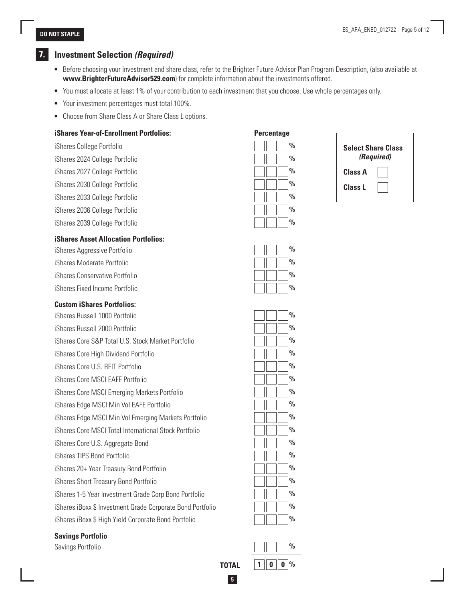# **DO NOT STAPLE** ES\_ARA\_ENBD\_012722 – Page 5 of 12

## **7. Investment Selection** *(Required)*

- Before choosing your investment and share class, refer to the Brighter Future Advisor Plan Program Description, (also available at **www.BrighterFutureAdvisor529.com**) for complete information about the investments offered.
- You must allocate at least 1% of your contribution to each investment that you choose. Use whole percentages only.
- Your investment percentages must total 100%.
- Choose from Share Class A or Share Class L options.

## **iShares Year-of-Enrollment Portfolios: Percentage**

iShares 2024 College Portfolio **%** iShares 2027 College Portfolio **%** iShares 2030 College Portfolio **%** iShares 2033 College Portfolio **%** iShares 2036 College Portfolio **%** iShares 2039 College Portfolio **%**

### **iShares Asset Allocation Portfolios:**

| <i>iShares Aggressive Portfolio</i>   |   |  |
|---------------------------------------|---|--|
| iShares Moderate Portfolio            |   |  |
| iShares Conservative Portfolio        |   |  |
| <i>iShares Fixed Income Portfolio</i> | % |  |

**Custom iShares Portfolios:** 



|  |  | $\frac{0}{0}$ |
|--|--|---------------|
|  |  | $\frac{1}{2}$ |
|  |  | $\frac{1}{2}$ |
|  |  | $\frac{1}{2}$ |
|  |  | $\frac{1}{2}$ |
|  |  | $\frac{1}{2}$ |
|  |  | $\frac{1}{2}$ |
|  |  | $\frac{1}{2}$ |
|  |  | $\frac{0}{0}$ |
|  |  | $\frac{1}{2}$ |
|  |  | $\frac{0}{0}$ |
|  |  | $\frac{1}{2}$ |
|  |  | $\frac{0}{0}$ |
|  |  | $\frac{1}{2}$ |
|  |  | $\frac{1}{2}$ |
|  |  | $\frac{1}{2}$ |
|  |  | $\frac{1}{2}$ |
|  |  |               |
|  |  |               |

# iShares Russell 1000 Portfolio **%** iShares Russell 2000 Portfolio **%** iShares Core S&P Total U.S. Stock Market Portfolio **%** iShares Core High Dividend Portfolio **%** iShares Core U.S. REIT Portfolio **%** iShares Core MSCI EAFE Portfolio **%** iShares Core MSCI Emerging Markets Portfolio **%** iShares Edge MSCI Min Vol EAFE Portfolio **%** iShares Edge MSCI Min Vol Emerging Markets Portfolio **%** iShares Core MSCI Total International Stock Portfolio **%** iShares Core U.S. Aggregate Bond **%** iShares TIPS Bond Portfolio **%** iShares 20+ Year Treasury Bond Portfolio **%** iShares Short Treasury Bond Portfolio **%** iShares 1-5 Year Investment Grade Corp Bond Portfolio **%** iShares iBoxx \$ Investment Grade Corporate Bond Portfolio **%**

## **Savings Portfolio**

iShares iBoxx \$ High Yield Corporate Bond Portfolio **%**

Savings Portfolio **%**

 $\textbf{TOTAL}$  **1 0 0 %**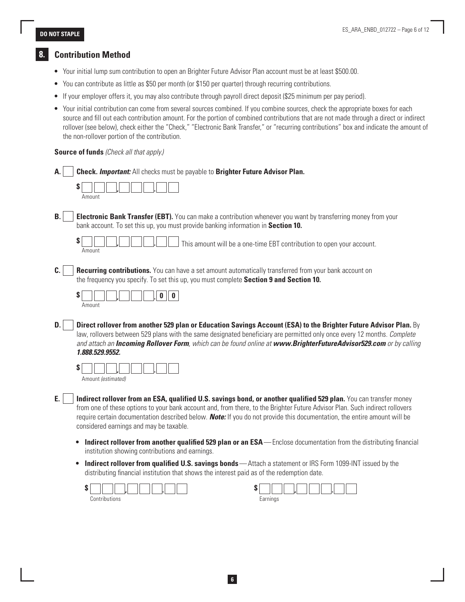# **8. Contribution Method**

- Your initial lump sum contribution to open an Brighter Future Advisor Plan account must be at least \$500.00.
- You can contribute as little as \$50 per month (or \$150 per quarter) through recurring contributions.
- If your employer offers it, you may also contribute through payroll direct deposit (\$25 minimum per pay period).
- Your initial contribution can come from several sources combined. If you combine sources, check the appropriate boxes for each source and fill out each contribution amount. For the portion of combined contributions that are not made through a direct or indirect rollover (see below), check either the "Check," "Electronic Bank Transfer," or "recurring contributions" box and indicate the amount of the non-rollover portion of the contribution.

## **Source of funds** *(Check all that apply.)*

| А. | <b>Check. Important:</b> All checks must be payable to <b>Brighter Future Advisor Plan.</b>                                                                                                                                                                                                                                                                                                                                     |
|----|---------------------------------------------------------------------------------------------------------------------------------------------------------------------------------------------------------------------------------------------------------------------------------------------------------------------------------------------------------------------------------------------------------------------------------|
|    | S<br>Amount                                                                                                                                                                                                                                                                                                                                                                                                                     |
| В. | <b>Electronic Bank Transfer (EBT).</b> You can make a contribution whenever you want by transferring money from your<br>bank account. To set this up, you must provide banking information in Section 10.                                                                                                                                                                                                                       |
|    | S<br>This amount will be a one-time EBT contribution to open your account.<br>Amount                                                                                                                                                                                                                                                                                                                                            |
| C. | Recurring contributions. You can have a set amount automatically transferred from your bank account on<br>the frequency you specify. To set this up, you must complete Section 9 and Section 10.                                                                                                                                                                                                                                |
|    | s<br>$\mathbf 0$<br>$\pmb{0}$<br>Amount                                                                                                                                                                                                                                                                                                                                                                                         |
| D. | Direct rollover from another 529 plan or Education Savings Account (ESA) to the Brighter Future Advisor Plan. By<br>law, rollovers between 529 plans with the same designated beneficiary are permitted only once every 12 months. Complete<br>and attach an <i>Incoming Rollover Form</i> , which can be found online at www.BrighterFutureAdvisor529.com or by calling<br>1.888.529.9552.                                     |
|    | S<br>Amount (estimated)                                                                                                                                                                                                                                                                                                                                                                                                         |
| Е. | Indirect rollover from an ESA, qualified U.S. savings bond, or another qualified 529 plan. You can transfer money<br>from one of these options to your bank account and, from there, to the Brighter Future Advisor Plan. Such indirect rollovers<br>require certain documentation described below. <b>Note:</b> If you do not provide this documentation, the entire amount will be<br>considered earnings and may be taxable. |
|    | Indirect rollover from another qualified 529 plan or an ESA—Enclose documentation from the distributing financial<br>$\bullet$<br>institution showing contributions and earnings.                                                                                                                                                                                                                                               |
|    | Indirect rollover from qualified U.S. savings bonds—Attach a statement or IRS Form 1099-INT issued by the<br>$\bullet$<br>distributing financial institution that shows the interest paid as of the redemption date.                                                                                                                                                                                                            |
|    | \$<br>Contributions<br>Earnings                                                                                                                                                                                                                                                                                                                                                                                                 |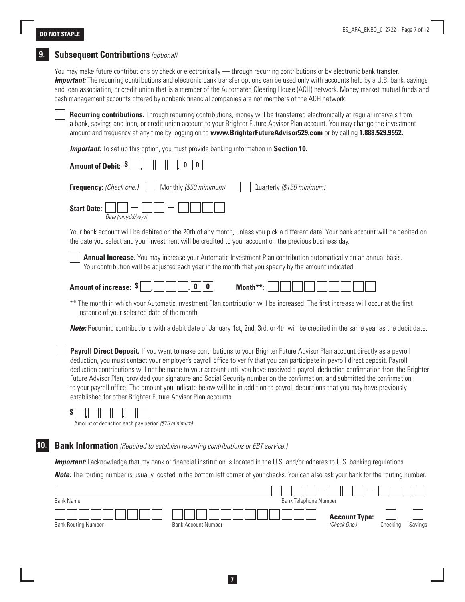## **9. Subsequent Contributions** *(optional)*

You may make future contributions by check or electronically — through recurring contributions or by electronic bank transfer. **Important:** The recurring contributions and electronic bank transfer options can be used only with accounts held by a U.S. bank, savings and loan association, or credit union that is a member of the Automated Clearing House (ACH) network. Money market mutual funds and cash management accounts offered by nonbank financial companies are not members of the ACH network.

**Recurring contributions.** Through recurring contributions, money will be transferred electronically at regular intervals from a bank, savings and loan, or credit union account to your Brighter Future Advisor Plan account. You may change the investment amount and frequency at any time by logging on to **www.BrighterFutureAdvisor529.com** or by calling **1.888.529.9552.**

*Important:* To set up this option, you must provide banking information in **Section 10.**

| Amount of Debit: \$<br>0                                                                                                                                                                                                                                                                                                                                                                                                                                                                                                                                                                                                                                               |
|------------------------------------------------------------------------------------------------------------------------------------------------------------------------------------------------------------------------------------------------------------------------------------------------------------------------------------------------------------------------------------------------------------------------------------------------------------------------------------------------------------------------------------------------------------------------------------------------------------------------------------------------------------------------|
| Frequency: (Check one.)<br>Monthly (\$50 minimum)<br>Quarterly (\$150 minimum)                                                                                                                                                                                                                                                                                                                                                                                                                                                                                                                                                                                         |
| <b>Start Date:</b><br>Date (mm/dd/vvvv)                                                                                                                                                                                                                                                                                                                                                                                                                                                                                                                                                                                                                                |
| Your bank account will be debited on the 20th of any month, unless you pick a different date. Your bank account will be debited on<br>the date you select and your investment will be credited to your account on the previous business day.                                                                                                                                                                                                                                                                                                                                                                                                                           |
| Annual Increase. You may increase your Automatic Investment Plan contribution automatically on an annual basis.<br>Your contribution will be adjusted each year in the month that you specify by the amount indicated.                                                                                                                                                                                                                                                                                                                                                                                                                                                 |
| Amount of increase: \$<br>0<br>Month**:                                                                                                                                                                                                                                                                                                                                                                                                                                                                                                                                                                                                                                |
| ** The month in which your Automatic Investment Plan contribution will be increased. The first increase will occur at the first<br>instance of your selected date of the month.                                                                                                                                                                                                                                                                                                                                                                                                                                                                                        |
| <b>Note:</b> Recurring contributions with a debit date of January 1st, 2nd, 3rd, or 4th will be credited in the same year as the debit date.                                                                                                                                                                                                                                                                                                                                                                                                                                                                                                                           |
| Payroll Direct Deposit. If you want to make contributions to your Brighter Future Advisor Plan account directly as a payroll<br>deduction, you must contact your employer's payroll office to verify that you can participate in payroll direct deposit. Payroll<br>deduction contributions will not be made to your account until you have received a payroll deduction confirmation from the Brighter<br>Future Advisor Plan, provided your signature and Social Security number on the confirmation, and submitted the confirmation<br>to your payroll office. The amount you indicate below will be in addition to payroll deductions that you may have previously |

**\$ , .**

Amount of deduction each pay period *(\$25 minimum)*

established for other Brighter Future Advisor Plan accounts.

## **10. Bank Information** *(Required to establish recurring contributions or EBT service.)*

**Important:** I acknowledge that my bank or financial institution is located in the U.S. and/or adheres to U.S. banking regulations..

**Note:** The routing number is usually located in the bottom left corner of your checks. You can also ask your bank for the routing number.

|                            | $-$                        | $\overline{\phantom{a}}$ |          |         |
|----------------------------|----------------------------|--------------------------|----------|---------|
| Bank Name                  | Bank Telephone Number      |                          |          |         |
|                            |                            | <b>Account Type:</b>     |          |         |
| <b>Bank Routing Number</b> | <b>Bank Account Number</b> | (Check One.)             | Checking | Savings |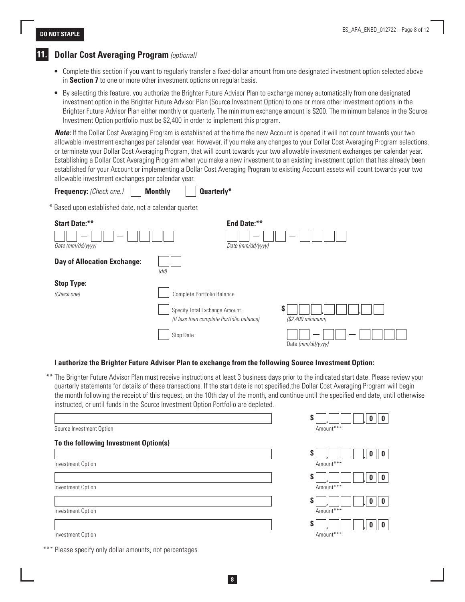## **11. Dollar Cost Averaging Program** *(optional)*

- Complete this section if you want to regularly transfer a fixed-dollar amount from one designated investment option selected above in **Section 7** to one or more other investment options on regular basis.
- By selecting this feature, you authorize the Brighter Future Advisor Plan to exchange money automatically from one designated investment option in the Brighter Future Advisor Plan (Source Investment Option) to one or more other investment options in the Brighter Future Advisor Plan either monthly or quarterly. The minimum exchange amount is \$200. The minimum balance in the Source Investment Option portfolio must be \$2,400 in order to implement this program.

*Note:* If the Dollar Cost Averaging Program is established at the time the new Account is opened it will not count towards your two allowable investment exchanges per calendar year. However, if you make any changes to your Dollar Cost Averaging Program selections, or terminate your Dollar Cost Averaging Program, that will count towards your two allowable investment exchanges per calendar year. Establishing a Dollar Cost Averaging Program when you make a new investment to an existing investment option that has already been established for your Account or implementing a Dollar Cost Averaging Program to existing Account assets will count towards your two allowable investment exchanges per calendar year.

| <b>Frequency:</b> (Check one.) | Monthly |  |
|--------------------------------|---------|--|
|--------------------------------|---------|--|

\* Based upon established date, not a calendar quarter.



**Frequency:** *(Check one.)* **Monthly****Quarterly\***

## **I authorize the Brighter Future Advisor Plan to exchange from the following Source Investment Option:**

\*\* The Brighter Future Advisor Plan must receive instructions at least 3 business days prior to the indicated start date. Please review your quarterly statements for details of these transactions. If the start date is not specified,the Dollar Cost Averaging Program will begin the month following the receipt of this request, on the 10th day of the month, and continue until the specified end date, until otherwise instructed, or until funds in the Source Investment Option Portfolio are depleted.

| Source Investment Option              | S<br>0<br>Amount*** |
|---------------------------------------|---------------------|
| To the following Investment Option(s) |                     |
|                                       |                     |
| Investment Option                     | Amount***           |
| Investment Option                     | Amount***           |
|                                       | n                   |
| Investment Option                     | Amount***           |
|                                       |                     |
| Investment Option                     | Amount***           |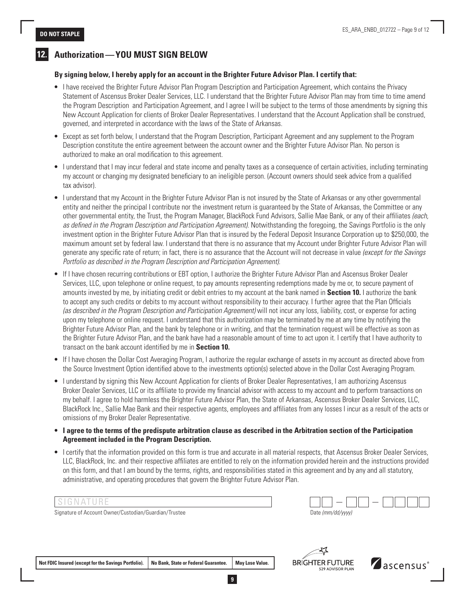## **12. Authorization—YOU MUST SIGN BELOW**

### **By signing below, I hereby apply for an account in the Brighter Future Advisor Plan. I certify that:**

- I have received the Brighter Future Advisor Plan Program Description and Participation Agreement, which contains the Privacy Statement of Ascensus Broker Dealer Services, LLC. I understand that the Brighter Future Advisor Plan may from time to time amend the Program Description and Participation Agreement, and I agree I will be subject to the terms of those amendments by signing this New Account Application for clients of Broker Dealer Representatives. I understand that the Account Application shall be construed, governed, and interpreted in accordance with the laws of the State of Arkansas.
- Except as set forth below, I understand that the Program Description, Participant Agreement and any supplement to the Program Description constitute the entire agreement between the account owner and the Brighter Future Advisor Plan. No person is authorized to make an oral modification to this agreement.
- I understand that I may incur federal and state income and penalty taxes as a consequence of certain activities, including terminating my account or changing my designated beneficiary to an ineligible person. (Account owners should seek advice from a qualified tax advisor).
- I understand that my Account in the Brighter Future Advisor Plan is not insured by the State of Arkansas or any other governmental entity and neither the principal I contribute nor the investment return is guaranteed by the State of Arkansas, the Committee or any other governmental entity, the Trust, the Program Manager, BlackRock Fund Advisors, Sallie Mae Bank, or any of their affiliates *(each,*  as defined in the Program Description and Participation Agreement). Notwithstanding the foregoing, the Savings Portfolio is the only investment option in the Brighter Future Advisor Plan that is insured by the Federal Deposit Insurance Corporation up to \$250,000, the maximum amount set by federal law. I understand that there is no assurance that my Account under Brighter Future Advisor Plan will generate any specific rate of return; in fact, there is no assurance that the Account will not decrease in value *(except for the Savings Portfolio as described in the Program Description and Participation Agreement).*
- If I have chosen recurring contributions or EBT option, I authorize the Brighter Future Advisor Plan and Ascensus Broker Dealer Services, LLC, upon telephone or online request, to pay amounts representing redemptions made by me or, to secure payment of amounts invested by me, by initiating credit or debit entries to my account at the bank named in **Section 10.** I authorize the bank to accept any such credits or debits to my account without responsibility to their accuracy. I further agree that the Plan Officials *(as described in the Program Description and Participation Agreement)* will not incur any loss, liability, cost, or expense for acting upon my telephone or online request. I understand that this authorization may be terminated by me at any time by notifying the Brighter Future Advisor Plan, and the bank by telephone or in writing, and that the termination request will be effective as soon as the Brighter Future Advisor Plan, and the bank have had a reasonable amount of time to act upon it. I certify that I have authority to transact on the bank account identified by me in **Section 10.**
- If I have chosen the Dollar Cost Averaging Program, I authorize the regular exchange of assets in my account as directed above from the Source Investment Option identified above to the investments option(s) selected above in the Dollar Cost Averaging Program.
- I understand by signing this New Account Application for clients of Broker Dealer Representatives, I am authorizing Ascensus Broker Dealer Services, LLC or its affiliate to provide my financial advisor with access to my account and to perform transactions on my behalf. I agree to hold harmless the Brighter Future Advisor Plan, the State of Arkansas, Ascensus Broker Dealer Services, LLC, BlackRock Inc., Sallie Mae Bank and their respective agents, employees and affiliates from any losses I incur as a result of the acts or omissions of my Broker Dealer Representative.
- **I agree to the terms of the predispute arbitration clause as described in the Arbitration section of the Participation Agreement included in the Program Description.**
- I certify that the information provided on this form is true and accurate in all material respects, that Ascensus Broker Dealer Services, LLC, BlackRock, Inc. and their respective affiliates are entitled to rely on the information provided herein and the instructions provided on this form, and that I am bound by the terms, rights, and responsibilities stated in this agreement and by any and all statutory, administrative, and operating procedures that govern the Brighter Future Advisor Plan.

Signature of Account Owner/Custodian/Guardian/Trustee

| Date (mm/dd/yyyy) |  |  |
|-------------------|--|--|





**9**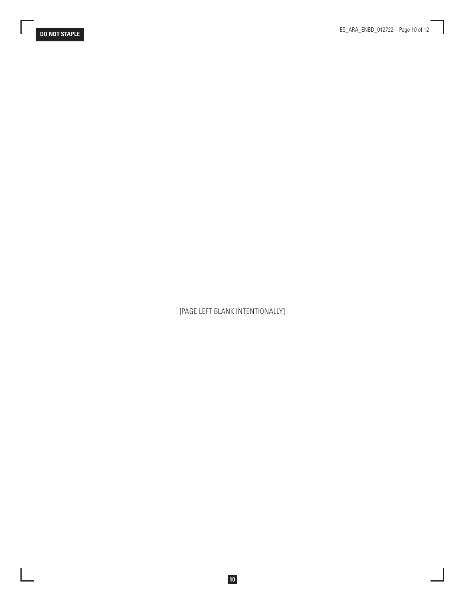I

[PAGE LEFT BLANK INTENTIONALLY]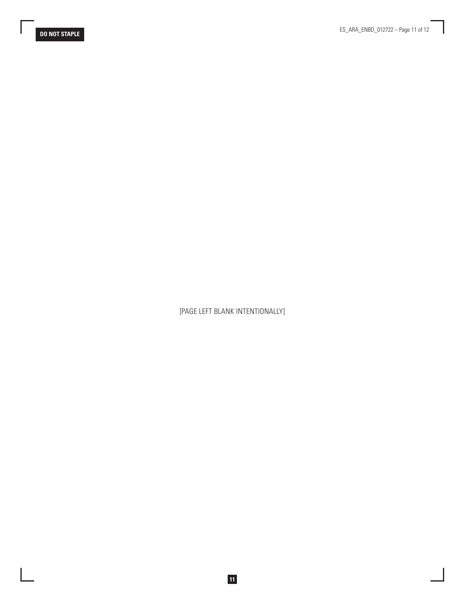I

[PAGE LEFT BLANK INTENTIONALLY]